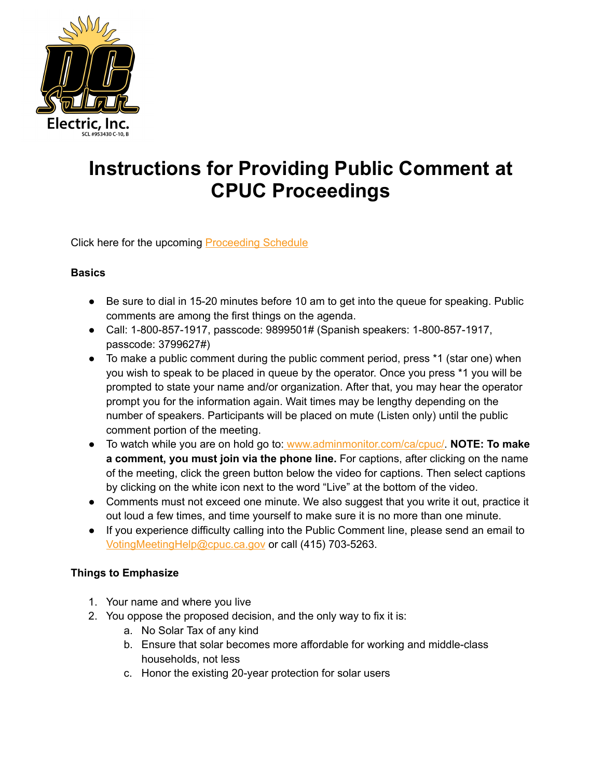

## **Instructions for Providing Public Comment at CPUC Proceedings**

Click here for the upcoming **[Proceeding](https://www.cpuc.ca.gov/nemrevisit) Schedule** 

## **Basics**

- Be sure to dial in 15-20 minutes before 10 am to get into the queue for speaking. Public comments are among the first things on the agenda.
- Call: 1-800-857-1917, passcode: 9899501# (Spanish speakers: 1-800-857-1917, passcode: 3799627#)
- To make a public comment during the public comment period, press \*1 (star one) when you wish to speak to be placed in queue by the operator. Once you press \*1 you will be prompted to state your name and/or organization. After that, you may hear the operator prompt you for the information again. Wait times may be lengthy depending on the number of speakers. Participants will be placed on mute (Listen only) until the public comment portion of the meeting.
- To watch while you are on hold go to: [www.adminmonitor.com/ca/cpuc/](http://www.adminmonitor.com/ca/cpuc/). **NOTE: To make a comment, you must join via the phone line.** For captions, after clicking on the name of the meeting, click the green button below the video for captions. Then select captions by clicking on the white icon next to the word "Live" at the bottom of the video.
- Comments must not exceed one minute. We also suggest that you write it out, practice it out loud a few times, and time yourself to make sure it is no more than one minute.
- If you experience difficulty calling into the Public Comment line, please send an email to [VotingMeetingHelp@cpuc.ca.gov](mailto:VotingMeetingHelp@cpuc.ca.gov) or call (415) 703-5263.

## **Things to Emphasize**

- 1. Your name and where you live
- 2. You oppose the proposed decision, and the only way to fix it is:
	- a. No Solar Tax of any kind
	- b. Ensure that solar becomes more affordable for working and middle-class households, not less
	- c. Honor the existing 20-year protection for solar users